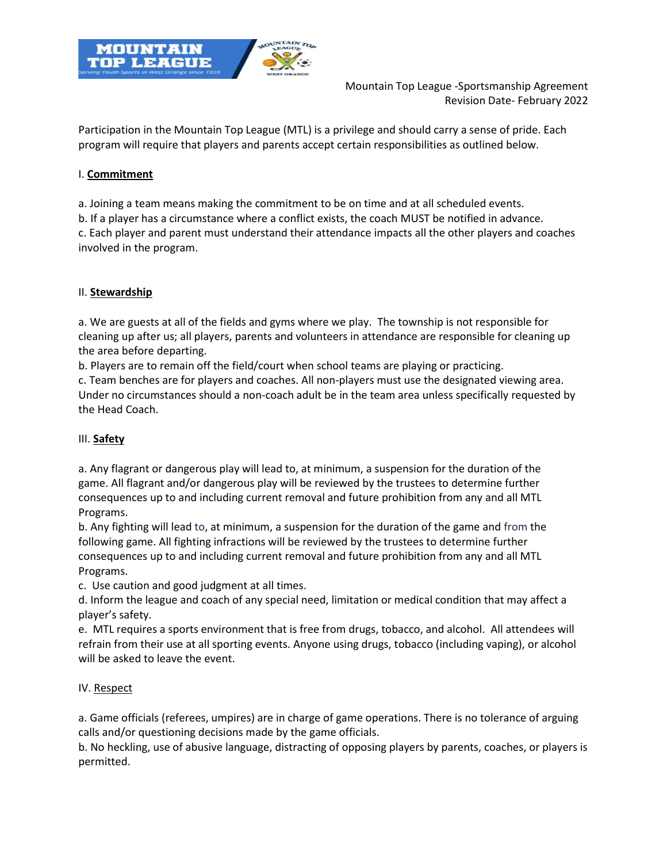

Participation in the Mountain Top League (MTL) is a privilege and should carry a sense of pride. Each program will require that players and parents accept certain responsibilities as outlined below.

## I. **Commitment**

a. Joining a team means making the commitment to be on time and at all scheduled events.

b. If a player has a circumstance where a conflict exists, the coach MUST be notified in advance. c. Each player and parent must understand their attendance impacts all the other players and coaches involved in the program.

## II. **Stewardship**

a. We are guests at all of the fields and gyms where we play. The township is not responsible for cleaning up after us; all players, parents and volunteers in attendance are responsible for cleaning up the area before departing.

b. Players are to remain off the field/court when school teams are playing or practicing.

c. Team benches are for players and coaches. All non-players must use the designated viewing area. Under no circumstances should a non-coach adult be in the team area unless specifically requested by the Head Coach.

# III. **Safety**

a. Any flagrant or dangerous play will lead to, at minimum, a suspension for the duration of the game. All flagrant and/or dangerous play will be reviewed by the trustees to determine further consequences up to and including current removal and future prohibition from any and all MTL Programs.

b. Any fighting will lead to, at minimum, a suspension for the duration of the game and from the following game. All fighting infractions will be reviewed by the trustees to determine further consequences up to and including current removal and future prohibition from any and all MTL Programs.

c. Use caution and good judgment at all times.

d. Inform the league and coach of any special need, limitation or medical condition that may affect a player's safety.

e. MTL requires a sports environment that is free from drugs, tobacco, and alcohol. All attendees will refrain from their use at all sporting events. Anyone using drugs, tobacco (including vaping), or alcohol will be asked to leave the event.

#### IV. Respect

a. Game officials (referees, umpires) are in charge of game operations. There is no tolerance of arguing calls and/or questioning decisions made by the game officials.

b. No heckling, use of abusive language, distracting of opposing players by parents, coaches, or players is permitted.